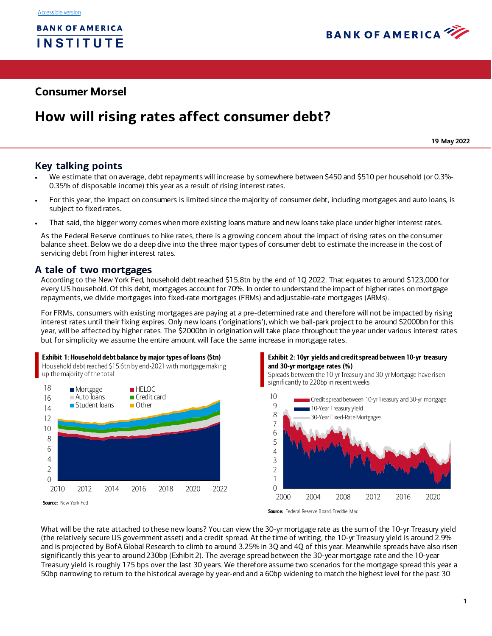

## **Consumer Morsel**

# **How will rising rates affect consumer debt?**

**19 May 2022**

## **Key talking points**

- We estimate that on average, debt repayments will increase by somewhere between \$450 and \$510 per household (or 0.3%- 0.35% of disposable income) this year as a result of rising interest rates.
- For this year, the impact on consumers is limited since the majority of consumer debt, including mortgages and auto loans, is subject to fixed rates.
- That said, the bigger worry comes when more existing loans mature and new loans take place under higher interest rates.

As the Federal Reserve continues to hike rates, there is a growing concern about the impact of rising rates on the consumer balance sheet. Below we do a deep dive into the three major types of consumer debt to estimate the increase in the cost of servicing debt from higher interest rates.

## **A tale of two mortgages**

According to the New York Fed, household debt reached \$15.8tn by the end of 1Q 2022. That equates to around \$123,000 for every US household. Of this debt, mortgages account for 70%. In order to understand the impact of higher rates on mortgage repayments, we divide mortgages into fixed-rate mortgages (FRMs) and adjustable-rate mortgages (ARMs).

For FRMs, consumers with existing mortgages are paying at a pre-determined rate and therefore will not be impacted by rising interest rates until their fixing expires. Only new loans ('originations'), which we ball-park project to be around \$2000bn for this year, will be affected by higher rates. The \$2000bn in origination will take place throughout the year under various interest rates but for simplicity we assume the entire amount will face the same increase in mortgage rates.

#### Exhibit 1: Household debt balance by major types of loans (\$tn)

Household debt reached \$15.6tn by end-2021 with mortgage making up the majority of the total



Source: New York Fed

#### <span id="page-0-0"></span>Exhibit 2: 10yr yields and credit spread between 10-yr treasury and 30-yr mortgage rates (%)

Spreads between the 10-yr Treasury and 30-yr Mortgage have risen significantly to 220bp in recent weeks



Source: Federal Reserve Board, Freddie Mac

What will be the rate attached to these new loans? You can view the 30-yr mortgage rate as the sum of the 10-yr Treasury yield (the relatively secure US government asset) and a credit spread. At the time of writing, the 10-yr Treasury yield is around 2.9% and is projected by BofA Global Research to climb to around 3.25% in 3Q and 4Q of this year. Meanwhile spreads have also risen significantly this year to around 230bp [\(Exhibit 2](#page-0-0)). The average spread between the 30-year mortgage rate and the 10-year Treasury yield is roughly 175 bps over the last 30 years. We therefore assume two scenarios for the mortgage spread this year: a 50bp narrowing to return to the historical average by year-end and a 60bp widening to match the highest level for the past 30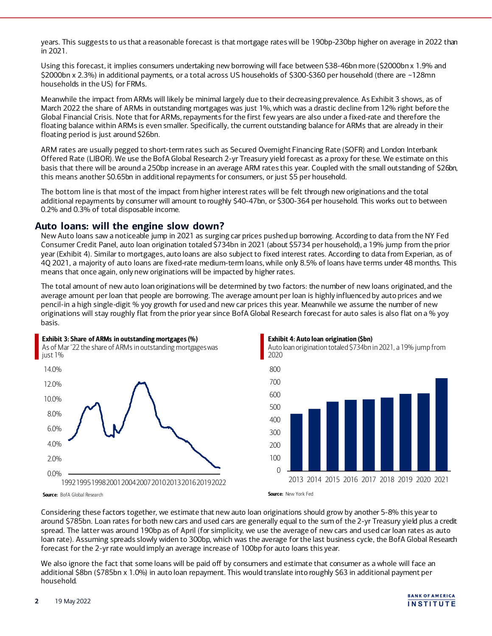years. This suggests to us that a reasonable forecast is that mortgage rates will be 190bp-230bp higher on average in 2022 than in 2021.

Using this forecast, it implies consumers undertaking new borrowing will face between \$38-46bn more (\$2000bn x 1.9% and \$2000bn x 2.3%) in additional payments, or a total across US households of \$300-\$360 per household (there are ~128mn households in the US) for FRMs.

Meanwhile the impact from ARMs will likely be minimal largely due to their decreasing prevalence. A[s Exhibit 3](#page-1-0) shows, as of March 2022 the share of ARMs in outstanding mortgages was just 1%, which was a drastic decline from 12% right before the Global Financial Crisis. Note that for ARMs, repayments for the first few years are also under a fixed-rate and therefore the floating balance within ARMs is even smaller. Specifically, the current outstanding balance for ARMs that are already in their floating period is just around \$26bn.

ARM rates are usually pegged to short-term rates such as Secured Overnight Financing Rate (SOFR) and London Interbank Offered Rate (LIBOR). We use the BofA Global Research 2-yr Treasury yield forecast as a proxy for these. We estimate on this basis that there will be around a 250bp increase in an average ARM rates this year. Coupled with the small outstanding of \$26bn, this means another \$0.65bn in additional repayments for consumers, or just \$5 per household.

The bottom line is that most of the impact from higher interest rates will be felt through new originations and the total additional repayments by consumer will amount to roughly \$40-47bn, or \$300-364 per household. This works out to between 0.2% and 0.3% of total disposable income.

## **Auto loans: will the engine slow down?**

New Auto loans saw a noticeable jump in 2021 as surging car prices pushed up borrowing. According to data from the NY Fed Consumer Credit Panel, auto loan origination totaled \$734bn in 2021 (about \$5734 per household), a 19% jump from the prior year [\(Exhibit 4\)](#page-1-1). Similar to mortgages, auto loans are also subject to fixed interest rates. According to data from Experian, as of 4Q 2021, a majority of auto loans are fixed-rate medium-term loans, while only 8.5% of loans have terms under 48 months. This means that once again, only new originations will be impacted by higher rates.

The total amount of new auto loan originations will be determined by two factors: the number of new loans originated, and the average amount per loan that people are borrowing. The average amount per loan is highly influenced by auto prices and we pencil-in a high single-digit % yoy growth for used and new car prices this year. Meanwhile we assume the number of new originations will stay roughly flat from the prior year since BofA Global Research forecast for auto sales is also flat on a % yoy basis.

<span id="page-1-0"></span>

<span id="page-1-1"></span>



Auto loan origination totaled \$734bn in 2021, a 19% jump from 2020

Source: BofA Global Research

Considering these factors together, we estimate that new auto loan originations should grow by another 5-8% this year to around \$785bn. Loan rates for both new cars and used cars are generally equal to the sum of the 2-yr Treasury yield plus a credit spread. The latter was around 190bp as of April (for simplicity, we use the average of new cars and used car loan rates as auto loan rate). Assuming spreads slowly widen to 300bp, which was the average for the last business cycle, the BofA Global Research forecast for the 2-yr rate would imply an average increase of 100bp for auto loans this year.

We also ignore the fact that some loans will be paid off by consumers and estimate that consumer as a whole will face an additional \$8bn (\$785bn x 1.0%) in auto loan repayment. This would translate into roughly \$63 in additional payment per household.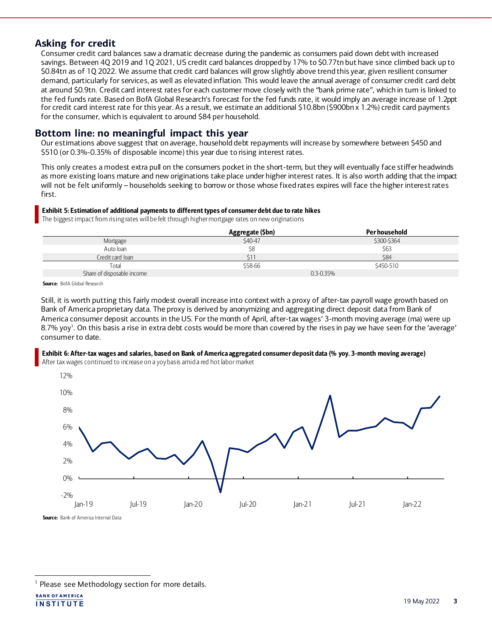## **Asking for credit**

Consumer credit card balances saw a dramatic decrease during the pandemic as consumers paid down debt with increased savings. Between 4Q 2019 and 1Q 2021, US credit card balances dropped by 17% to \$0.77tn but have since climbed back up to \$0.84tn as of 1Q 2022. We assume that credit card balances will grow slightly above trend this year, given resilient consumer demand, particularly for services, as well as elevated inflation. This would leave the annual average of consumer credit card debt at around \$0.9tn. Credit card interest rates for each customer move closely with the "bank prime rate", which in turn is linked to the fed funds rate. Based on BofA Global Research's forecast for the fed funds rate, it would imply an average increase of 1.2ppt for credit card interest rate for this year. As a result, we estimate an additional \$10.8bn (\$900bn x 1.2%) credit card payments for the consumer, which is equivalent to around \$84 per household.

## **Bottom line: no meaningful impact this year**

Our estimations above suggest that on average, household debt repayments will increase by somewhere between \$450 and \$510 (or 0.3%-0.35% of disposable income) this year due to rising interest rates.

This only creates a modest extra pull on the consumers pocket in the short-term, but they will eventually face stiffer headwinds as more existing loans mature and new originations take place under higher interest rates. It is also worth adding that the impact will not be felt uniformly – households seeking to borrow or those whose fixed rates expires will face the higher interest rates first.

#### Exhibit 5: Estimation of additional payments to different types of consumer debt due to rate hikes

The biggest impact from rising rates will be felt through higher mortgage rates on new originations

|                            | Aggregate (\$bn) | Per household |
|----------------------------|------------------|---------------|
| Mortgage                   | \$40-47          | \$300-\$364   |
| Auto loan                  | \$8              | \$63          |
| Credit card loan           |                  | \$84          |
| Total                      | \$58-66          | \$450-510     |
| Share of disposable income | $0.3 - 0.35\%$   |               |

Source: BofA Global Research

Still, it is worth putting this fairly modest overall increase into context with a proxy of after-tax payroll wage growth based on Bank of America proprietary data. The proxy is derived by anonymizing and aggregating direct deposit data from Bank of America consumer deposit accounts in the US. For the month of April, after-tax wages' 3-month moving average (ma) were up 8.7% yoy<sup>1</sup>. On this basis a rise in extra debt costs would be more than covered by the rises in pay we have seen for the 'average' consumer to date.

## Exhibit 6: After-tax wages and salaries, based on Bank of America aggregated consumer deposit data (% yoy. 3-month moving average)

After tax wages continued to increase on a yoy basis amid a red hot labor market



<sup>&</sup>lt;sup>1</sup> Please see Methodology section for more details.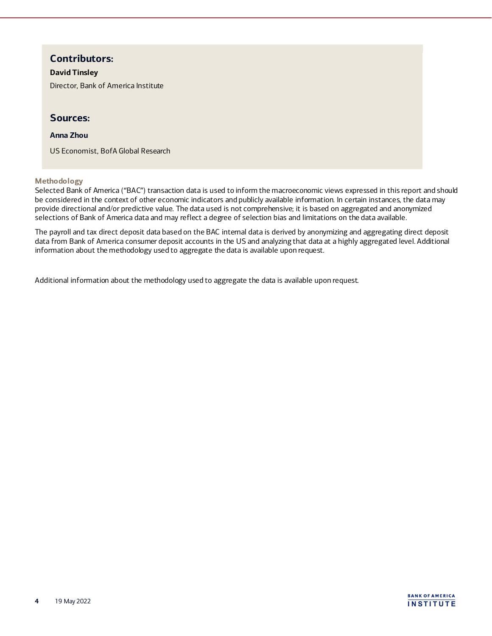## **Contributors:**

#### **David Tinsley**

Director, Bank of America Institute

## **Sources:**

### **Anna Zhou**

US Economist, BofA Global Research

#### **Methodology**

Selected Bank of America ("BAC") transaction data is used to inform the macroeconomic views expressed in this report and should be considered in the context of other economic indicators and publicly available information. In certain instances, the data may provide directional and/or predictive value. The data used is not comprehensive; it is based on aggregated and anonymized selections of Bank of America data and may reflect a degree of selection bias and limitations on the data available.

The payroll and tax direct deposit data based on the BAC internal data is derived by anonymizing and aggregating direct deposit data from Bank of America consumer deposit accounts in the US and analyzing that data at a highly aggregated level. Additional information about the methodology used to aggregate the data is available upon request.

Additional information about the methodology used to aggregate the data is available upon request.